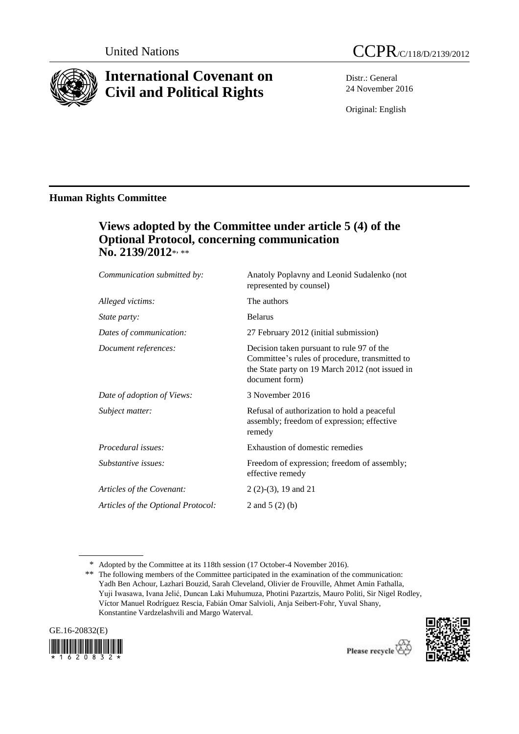

# **International Covenant on Civil and Political Rights**



Distr.: General 24 November 2016

Original: English

## **Human Rights Committee**

# **Views adopted by the Committee under article 5 (4) of the Optional Protocol, concerning communication** No. 2139/2012\*<sub>\*\*\*</sub>

| Communication submitted by:        | Anatoly Poplavny and Leonid Sudalenko (not<br>represented by counsel)                                                                                            |
|------------------------------------|------------------------------------------------------------------------------------------------------------------------------------------------------------------|
| Alleged victims:                   | The authors                                                                                                                                                      |
| <i>State party:</i>                | <b>Belarus</b>                                                                                                                                                   |
| Dates of communication:            | 27 February 2012 (initial submission)                                                                                                                            |
| Document references:               | Decision taken pursuant to rule 97 of the<br>Committee's rules of procedure, transmitted to<br>the State party on 19 March 2012 (not issued in<br>document form) |
| Date of adoption of Views:         | 3 November 2016                                                                                                                                                  |
| Subject matter:                    | Refusal of authorization to hold a peaceful<br>assembly; freedom of expression; effective<br>remedy                                                              |
| Procedural issues:                 | Exhaustion of domestic remedies                                                                                                                                  |
| Substantive issues:                | Freedom of expression; freedom of assembly;<br>effective remedy                                                                                                  |
| Articles of the Covenant:          | $2(2)-(3)$ , 19 and 21                                                                                                                                           |
| Articles of the Optional Protocol: | 2 and $5(2)(b)$                                                                                                                                                  |
|                                    |                                                                                                                                                                  |

<sup>\*\*</sup> The following members of the Committee participated in the examination of the communication: Yadh Ben Achour, Lazhari Bouzid, Sarah Cleveland, Olivier de Frouville, Ahmet Amin Fathalla, Yuji Iwasawa, Ivana Jelić, Duncan Laki Muhumuza, Photini Pazartzis, Mauro Politi, Sir Nigel Rodley, Víctor Manuel Rodríguez Rescia, Fabián Omar Salvioli, Anja Seibert-Fohr, Yuval Shany, Konstantine Vardzelashvili and Margo Waterval.





<sup>\*</sup> Adopted by the Committee at its 118th session (17 October-4 November 2016).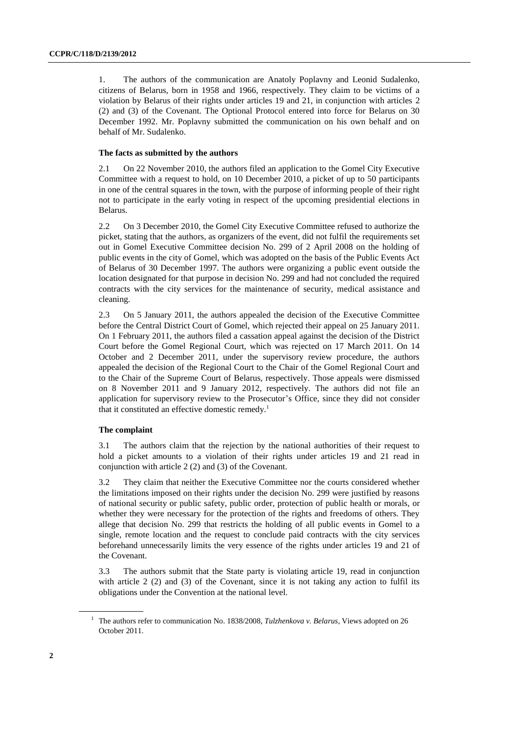1. The authors of the communication are Anatoly Poplavny and Leonid Sudalenko, citizens of Belarus, born in 1958 and 1966, respectively. They claim to be victims of a violation by Belarus of their rights under articles 19 and 21, in conjunction with articles 2 (2) and (3) of the Covenant. The Optional Protocol entered into force for Belarus on 30 December 1992. Mr. Poplavny submitted the communication on his own behalf and on behalf of Mr. Sudalenko.

### **The facts as submitted by the authors**

2.1 On 22 November 2010, the authors filed an application to the Gomel City Executive Committee with a request to hold, on 10 December 2010, a picket of up to 50 participants in one of the central squares in the town, with the purpose of informing people of their right not to participate in the early voting in respect of the upcoming presidential elections in Belarus.

2.2 On 3 December 2010, the Gomel City Executive Committee refused to authorize the picket, stating that the authors, as organizers of the event, did not fulfil the requirements set out in Gomel Executive Committee decision No. 299 of 2 April 2008 on the holding of public events in the city of Gomel, which was adopted on the basis of the Public Events Act of Belarus of 30 December 1997. The authors were organizing a public event outside the location designated for that purpose in decision No. 299 and had not concluded the required contracts with the city services for the maintenance of security, medical assistance and cleaning.

2.3 On 5 January 2011, the authors appealed the decision of the Executive Committee before the Central District Court of Gomel, which rejected their appeal on 25 January 2011. On 1 February 2011, the authors filed a cassation appeal against the decision of the District Court before the Gomel Regional Court, which was rejected on 17 March 2011. On 14 October and 2 December 2011, under the supervisory review procedure, the authors appealed the decision of the Regional Court to the Chair of the Gomel Regional Court and to the Chair of the Supreme Court of Belarus, respectively. Those appeals were dismissed on 8 November 2011 and 9 January 2012, respectively. The authors did not file an application for supervisory review to the Prosecutor's Office, since they did not consider that it constituted an effective domestic remedy.<sup>1</sup>

#### **The complaint**

3.1 The authors claim that the rejection by the national authorities of their request to hold a picket amounts to a violation of their rights under articles 19 and 21 read in conjunction with article 2 (2) and (3) of the Covenant.

3.2 They claim that neither the Executive Committee nor the courts considered whether the limitations imposed on their rights under the decision No. 299 were justified by reasons of national security or public safety, public order, protection of public health or morals, or whether they were necessary for the protection of the rights and freedoms of others. They allege that decision No. 299 that restricts the holding of all public events in Gomel to a single, remote location and the request to conclude paid contracts with the city services beforehand unnecessarily limits the very essence of the rights under articles 19 and 21 of the Covenant.

3.3 The authors submit that the State party is violating article 19, read in conjunction with article 2 (2) and (3) of the Covenant, since it is not taking any action to fulfil its obligations under the Convention at the national level.

<sup>1</sup> The authors refer to communication No. 1838/2008, *Tulzhenkova v. Belarus*, Views adopted on 26 October 2011.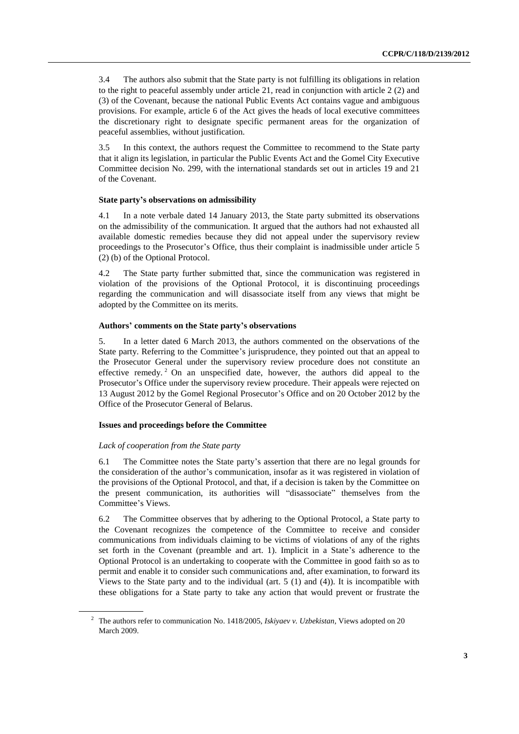3.4 The authors also submit that the State party is not fulfilling its obligations in relation to the right to peaceful assembly under article 21, read in conjunction with article 2 (2) and (3) of the Covenant, because the national Public Events Act contains vague and ambiguous provisions. For example, article 6 of the Act gives the heads of local executive committees the discretionary right to designate specific permanent areas for the organization of peaceful assemblies, without justification.

3.5 In this context, the authors request the Committee to recommend to the State party that it align its legislation, in particular the Public Events Act and the Gomel City Executive Committee decision No. 299, with the international standards set out in articles 19 and 21 of the Covenant.

#### **State party's observations on admissibility**

4.1 In a note verbale dated 14 January 2013, the State party submitted its observations on the admissibility of the communication. It argued that the authors had not exhausted all available domestic remedies because they did not appeal under the supervisory review proceedings to the Prosecutor's Office, thus their complaint is inadmissible under article 5 (2) (b) of the Optional Protocol.

4.2 The State party further submitted that, since the communication was registered in violation of the provisions of the Optional Protocol, it is discontinuing proceedings regarding the communication and will disassociate itself from any views that might be adopted by the Committee on its merits.

#### **Authors' comments on the State party's observations**

5. In a letter dated 6 March 2013, the authors commented on the observations of the State party. Referring to the Committee's jurisprudence, they pointed out that an appeal to the Prosecutor General under the supervisory review procedure does not constitute an effective remedy. <sup>2</sup> On an unspecified date, however, the authors did appeal to the Prosecutor's Office under the supervisory review procedure. Their appeals were rejected on 13 August 2012 by the Gomel Regional Prosecutor's Office and on 20 October 2012 by the Office of the Prosecutor General of Belarus.

### **Issues and proceedings before the Committee**

#### *Lack of cooperation from the State party*

6.1 The Committee notes the State party's assertion that there are no legal grounds for the consideration of the author's communication, insofar as it was registered in violation of the provisions of the Optional Protocol, and that, if a decision is taken by the Committee on the present communication, its authorities will "disassociate" themselves from the Committee's Views.

6.2 The Committee observes that by adhering to the Optional Protocol, a State party to the Covenant recognizes the competence of the Committee to receive and consider communications from individuals claiming to be victims of violations of any of the rights set forth in the Covenant (preamble and art. 1). Implicit in a State's adherence to the Optional Protocol is an undertaking to cooperate with the Committee in good faith so as to permit and enable it to consider such communications and, after examination, to forward its Views to the State party and to the individual (art. 5 (1) and (4)). It is incompatible with these obligations for a State party to take any action that would prevent or frustrate the

<sup>2</sup> The authors refer to communication No. 1418/2005, *Iskiyaev v. Uzbekistan*, Views adopted on 20 March 2009.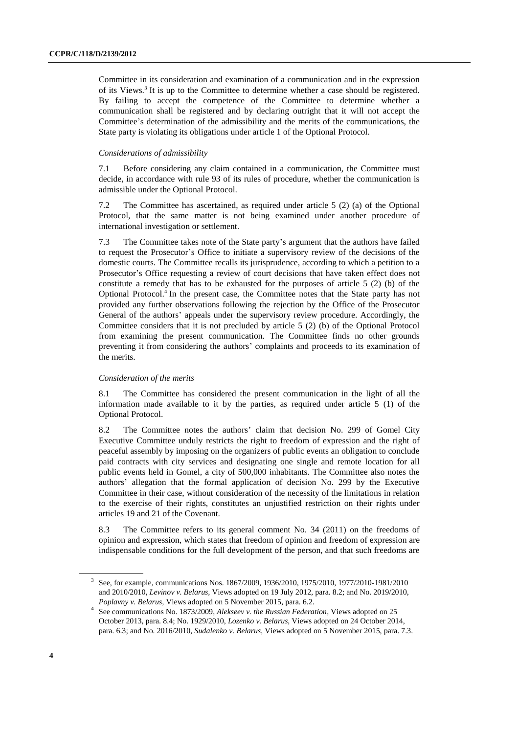Committee in its consideration and examination of a communication and in the expression of its Views.<sup>3</sup> It is up to the Committee to determine whether a case should be registered. By failing to accept the competence of the Committee to determine whether a communication shall be registered and by declaring outright that it will not accept the Committee's determination of the admissibility and the merits of the communications, the State party is violating its obligations under article 1 of the Optional Protocol.

#### *Considerations of admissibility*

7.1 Before considering any claim contained in a communication, the Committee must decide, in accordance with rule 93 of its rules of procedure, whether the communication is admissible under the Optional Protocol.

7.2 The Committee has ascertained, as required under article 5 (2) (a) of the Optional Protocol, that the same matter is not being examined under another procedure of international investigation or settlement.

7.3 The Committee takes note of the State party's argument that the authors have failed to request the Prosecutor's Office to initiate a supervisory review of the decisions of the domestic courts. The Committee recalls its jurisprudence, according to which a petition to a Prosecutor's Office requesting a review of court decisions that have taken effect does not constitute a remedy that has to be exhausted for the purposes of article 5 (2) (b) of the Optional Protocol.<sup>4</sup> In the present case, the Committee notes that the State party has not provided any further observations following the rejection by the Office of the Prosecutor General of the authors' appeals under the supervisory review procedure. Accordingly, the Committee considers that it is not precluded by article 5 (2) (b) of the Optional Protocol from examining the present communication. The Committee finds no other grounds preventing it from considering the authors' complaints and proceeds to its examination of the merits.

#### *Consideration of the merits*

8.1 The Committee has considered the present communication in the light of all the information made available to it by the parties, as required under article 5 (1) of the Optional Protocol.

8.2 The Committee notes the authors' claim that decision No. 299 of Gomel City Executive Committee unduly restricts the right to freedom of expression and the right of peaceful assembly by imposing on the organizers of public events an obligation to conclude paid contracts with city services and designating one single and remote location for all public events held in Gomel, a city of 500,000 inhabitants. The Committee also notes the authors' allegation that the formal application of decision No. 299 by the Executive Committee in their case, without consideration of the necessity of the limitations in relation to the exercise of their rights, constitutes an unjustified restriction on their rights under articles 19 and 21 of the Covenant.

8.3 The Committee refers to its general comment No. 34 (2011) on the freedoms of opinion and expression, which states that freedom of opinion and freedom of expression are indispensable conditions for the full development of the person, and that such freedoms are

<sup>3</sup> See, for example, communications Nos. 1867/2009, 1936/2010, 1975/2010, 1977/2010-1981/2010 and 2010/2010, *Levinov v. Belarus,* Views adopted on 19 July 2012, para. 8.2; and No. 2019/2010, *Poplavny v. Belarus,* Views adopted on 5 November 2015, para. 6.2.

<sup>4</sup> See communications No. 1873/2009, *Alekseev v. the Russian Federation*, Views adopted on 25 October 2013, para. 8.4; No. 1929/2010, *Lozenko v. Belarus,* Views adopted on 24 October 2014, para. 6.3; and No. 2016/2010, *Sudalenko v. Belarus*, Views adopted on 5 November 2015, para. 7.3.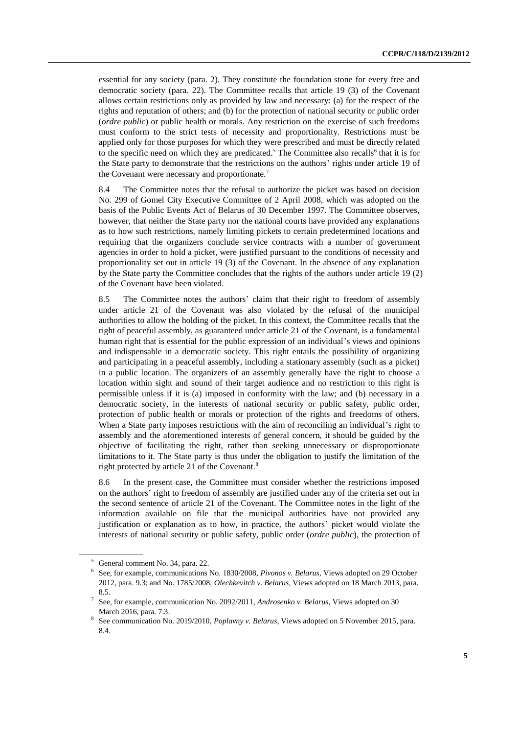essential for any society (para. 2). They constitute the foundation stone for every free and democratic society (para. 22). The Committee recalls that article 19 (3) of the Covenant allows certain restrictions only as provided by law and necessary: (a) for the respect of the rights and reputation of others; and (b) for the protection of national security or public order (*ordre public*) or public health or morals. Any restriction on the exercise of such freedoms must conform to the strict tests of necessity and proportionality. Restrictions must be applied only for those purposes for which they were prescribed and must be directly related to the specific need on which they are predicated.<sup>5</sup> The Committee also recalls<sup>6</sup> that it is for the State party to demonstrate that the restrictions on the authors' rights under article 19 of the Covenant were necessary and proportionate.<sup>7</sup>

8.4 The Committee notes that the refusal to authorize the picket was based on decision No. 299 of Gomel City Executive Committee of 2 April 2008, which was adopted on the basis of the Public Events Act of Belarus of 30 December 1997. The Committee observes, however, that neither the State party nor the national courts have provided any explanations as to how such restrictions, namely limiting pickets to certain predetermined locations and requiring that the organizers conclude service contracts with a number of government agencies in order to hold a picket, were justified pursuant to the conditions of necessity and proportionality set out in article 19 (3) of the Covenant. In the absence of any explanation by the State party the Committee concludes that the rights of the authors under article 19 (2) of the Covenant have been violated.

8.5 The Committee notes the authors' claim that their right to freedom of assembly under article 21 of the Covenant was also violated by the refusal of the municipal authorities to allow the holding of the picket. In this context, the Committee recalls that the right of peaceful assembly, as guaranteed under article 21 of the Covenant, is a fundamental human right that is essential for the public expression of an individual's views and opinions and indispensable in a democratic society. This right entails the possibility of organizing and participating in a peaceful assembly, including a stationary assembly (such as a picket) in a public location. The organizers of an assembly generally have the right to choose a location within sight and sound of their target audience and no restriction to this right is permissible unless if it is (a) imposed in conformity with the law; and (b) necessary in a democratic society, in the interests of national security or public safety, public order, protection of public health or morals or protection of the rights and freedoms of others. When a State party imposes restrictions with the aim of reconciling an individual's right to assembly and the aforementioned interests of general concern, it should be guided by the objective of facilitating the right, rather than seeking unnecessary or disproportionate limitations to it. The State party is thus under the obligation to justify the limitation of the right protected by article 21 of the Covenant.<sup>8</sup>

8.6 In the present case, the Committee must consider whether the restrictions imposed on the authors' right to freedom of assembly are justified under any of the criteria set out in the second sentence of article 21 of the Covenant. The Committee notes in the light of the information available on file that the municipal authorities have not provided any justification or explanation as to how, in practice, the authors' picket would violate the interests of national security or public safety, public order (*ordre public*), the protection of

<sup>5</sup> General comment No. 34*,* para. 22.

<sup>6</sup> See, for example, communications No. 1830/2008, *Pivonos v. Belarus,* Views adopted on 29 October 2012, para. 9.3; and No. 1785/2008, *Olechkevitch v. Belarus,* Views adopted on 18 March 2013, para. 8.5.

<sup>7</sup> See, for example, communication No. 2092/2011, *Androsenko v. Belarus,* Views adopted on 30 March 2016, para. 7.3.

<sup>8</sup> See communication No. 2019/2010, *Poplavny v. Belarus*, Views adopted on 5 November 2015, para. 8.4.